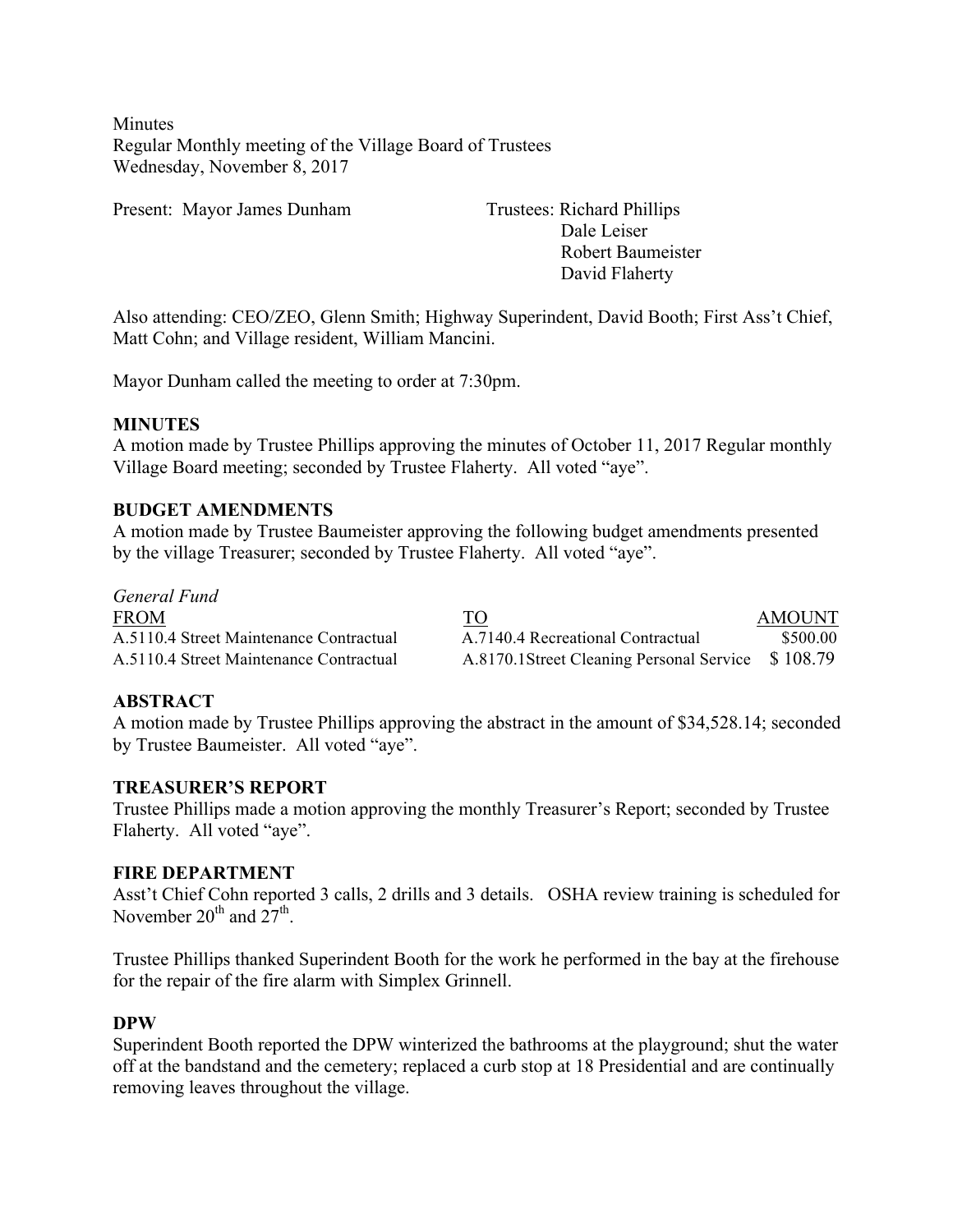**Minutes** Regular Monthly meeting of the Village Board of Trustees Wednesday, November 8, 2017

Present: Mayor James Dunham Trustees: Richard Phillips

Dale Leiser Robert Baumeister David Flaherty

Also attending: CEO/ZEO, Glenn Smith; Highway Superindent, David Booth; First Ass't Chief, Matt Cohn; and Village resident, William Mancini.

Mayor Dunham called the meeting to order at 7:30pm.

#### **MINUTES**

A motion made by Trustee Phillips approving the minutes of October 11, 2017 Regular monthly Village Board meeting; seconded by Trustee Flaherty. All voted "aye".

#### **BUDGET AMENDMENTS**

A motion made by Trustee Baumeister approving the following budget amendments presented by the village Treasurer; seconded by Trustee Flaherty. All voted "aye".

*General Fund* FROM AMOUNT A.5110.4 Street Maintenance Contractual A.7140.4 Recreational Contractual \$500.00 A.5110.4 Street Maintenance Contractual A.8170.1Street Cleaning Personal Service \$ 108.79

### **ABSTRACT**

A motion made by Trustee Phillips approving the abstract in the amount of \$34,528.14; seconded by Trustee Baumeister. All voted "aye".

#### **TREASURER'S REPORT**

Trustee Phillips made a motion approving the monthly Treasurer's Report; seconded by Trustee Flaherty. All voted "aye".

#### **FIRE DEPARTMENT**

Asst't Chief Cohn reported 3 calls, 2 drills and 3 details. OSHA review training is scheduled for November  $20^{th}$  and  $27^{th}$ .

Trustee Phillips thanked Superindent Booth for the work he performed in the bay at the firehouse for the repair of the fire alarm with Simplex Grinnell.

#### **DPW**

Superindent Booth reported the DPW winterized the bathrooms at the playground; shut the water off at the bandstand and the cemetery; replaced a curb stop at 18 Presidential and are continually removing leaves throughout the village.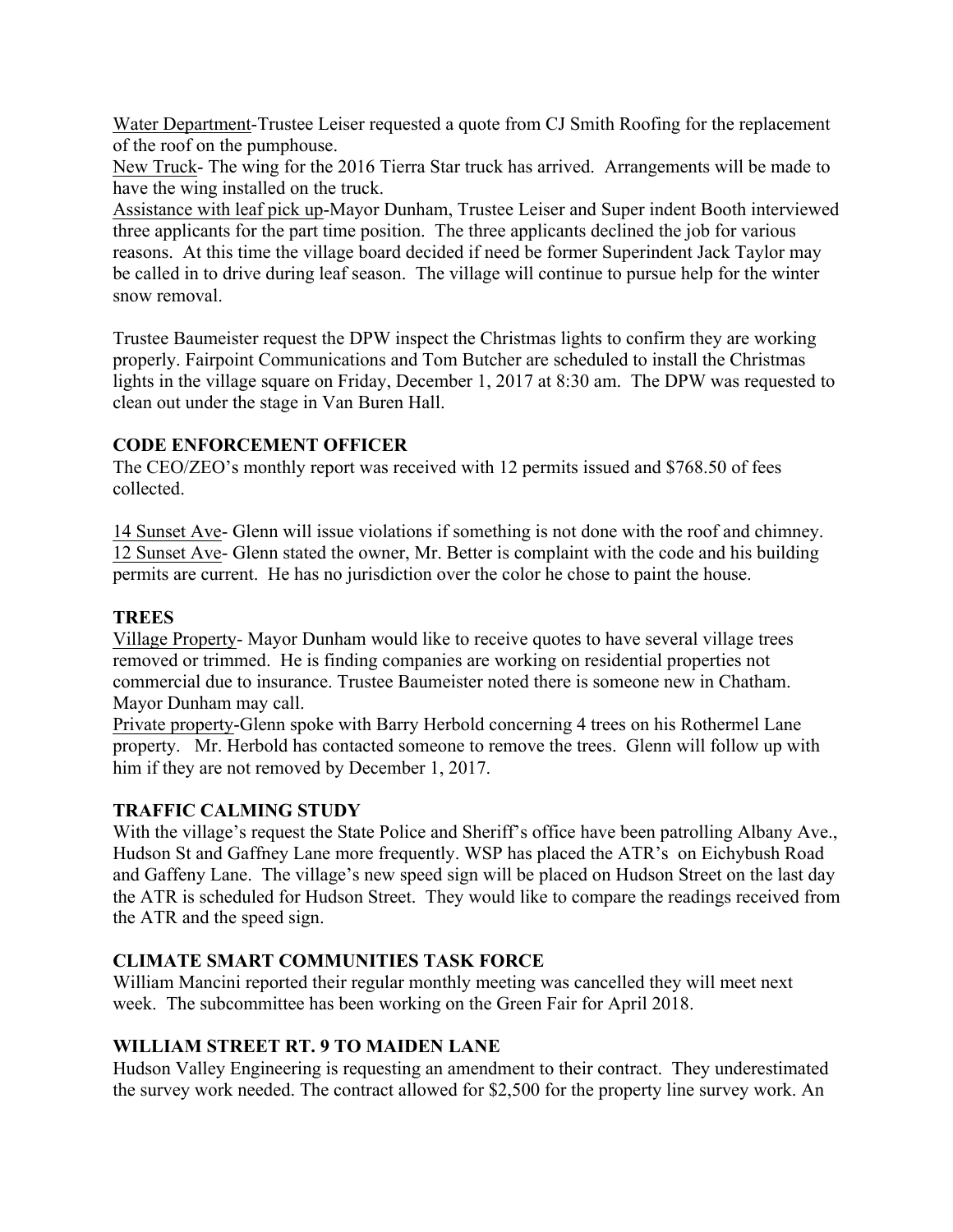Water Department-Trustee Leiser requested a quote from CJ Smith Roofing for the replacement of the roof on the pumphouse.

New Truck- The wing for the 2016 Tierra Star truck has arrived. Arrangements will be made to have the wing installed on the truck.

Assistance with leaf pick up-Mayor Dunham, Trustee Leiser and Super indent Booth interviewed three applicants for the part time position. The three applicants declined the job for various reasons. At this time the village board decided if need be former Superindent Jack Taylor may be called in to drive during leaf season. The village will continue to pursue help for the winter snow removal.

Trustee Baumeister request the DPW inspect the Christmas lights to confirm they are working properly. Fairpoint Communications and Tom Butcher are scheduled to install the Christmas lights in the village square on Friday, December 1, 2017 at 8:30 am. The DPW was requested to clean out under the stage in Van Buren Hall.

## **CODE ENFORCEMENT OFFICER**

The CEO/ZEO's monthly report was received with 12 permits issued and \$768.50 of fees collected.

14 Sunset Ave- Glenn will issue violations if something is not done with the roof and chimney. 12 Sunset Ave- Glenn stated the owner, Mr. Better is complaint with the code and his building permits are current. He has no jurisdiction over the color he chose to paint the house.

## **TREES**

Village Property- Mayor Dunham would like to receive quotes to have several village trees removed or trimmed. He is finding companies are working on residential properties not commercial due to insurance. Trustee Baumeister noted there is someone new in Chatham. Mayor Dunham may call.

Private property-Glenn spoke with Barry Herbold concerning 4 trees on his Rothermel Lane property. Mr. Herbold has contacted someone to remove the trees. Glenn will follow up with him if they are not removed by December 1, 2017.

# **TRAFFIC CALMING STUDY**

With the village's request the State Police and Sheriff's office have been patrolling Albany Ave., Hudson St and Gaffney Lane more frequently. WSP has placed the ATR's on Eichybush Road and Gaffeny Lane. The village's new speed sign will be placed on Hudson Street on the last day the ATR is scheduled for Hudson Street. They would like to compare the readings received from the ATR and the speed sign.

## **CLIMATE SMART COMMUNITIES TASK FORCE**

William Mancini reported their regular monthly meeting was cancelled they will meet next week. The subcommittee has been working on the Green Fair for April 2018.

## **WILLIAM STREET RT. 9 TO MAIDEN LANE**

Hudson Valley Engineering is requesting an amendment to their contract. They underestimated the survey work needed. The contract allowed for \$2,500 for the property line survey work. An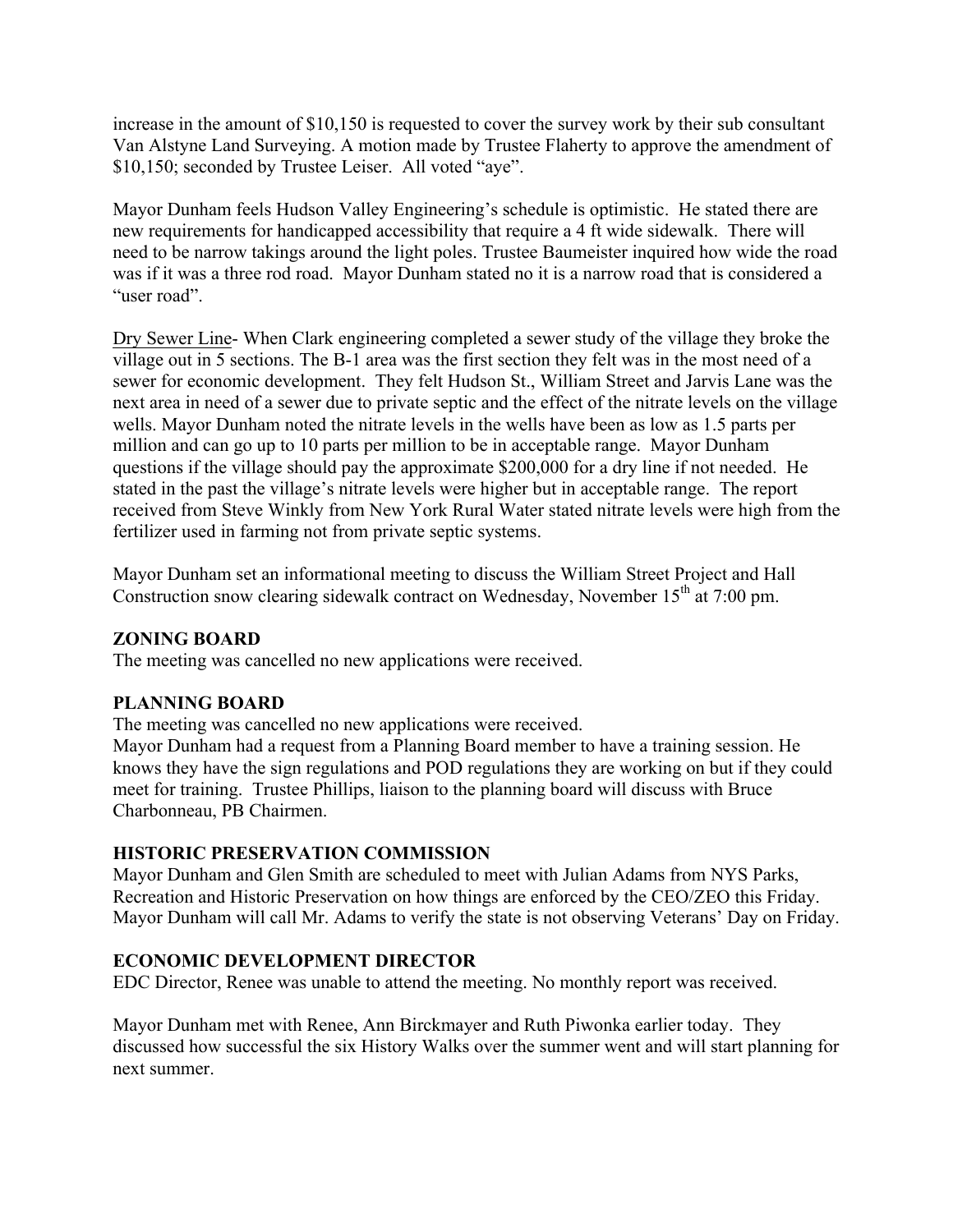increase in the amount of \$10,150 is requested to cover the survey work by their sub consultant Van Alstyne Land Surveying. A motion made by Trustee Flaherty to approve the amendment of \$10,150; seconded by Trustee Leiser. All voted "aye".

Mayor Dunham feels Hudson Valley Engineering's schedule is optimistic. He stated there are new requirements for handicapped accessibility that require a 4 ft wide sidewalk. There will need to be narrow takings around the light poles. Trustee Baumeister inquired how wide the road was if it was a three rod road. Mayor Dunham stated no it is a narrow road that is considered a "user road".

Dry Sewer Line- When Clark engineering completed a sewer study of the village they broke the village out in 5 sections. The B-1 area was the first section they felt was in the most need of a sewer for economic development. They felt Hudson St., William Street and Jarvis Lane was the next area in need of a sewer due to private septic and the effect of the nitrate levels on the village wells. Mayor Dunham noted the nitrate levels in the wells have been as low as 1.5 parts per million and can go up to 10 parts per million to be in acceptable range. Mayor Dunham questions if the village should pay the approximate \$200,000 for a dry line if not needed. He stated in the past the village's nitrate levels were higher but in acceptable range. The report received from Steve Winkly from New York Rural Water stated nitrate levels were high from the fertilizer used in farming not from private septic systems.

Mayor Dunham set an informational meeting to discuss the William Street Project and Hall Construction snow clearing sidewalk contract on Wednesday, November  $15<sup>th</sup>$  at 7:00 pm.

## **ZONING BOARD**

The meeting was cancelled no new applications were received.

### **PLANNING BOARD**

The meeting was cancelled no new applications were received.

Mayor Dunham had a request from a Planning Board member to have a training session. He knows they have the sign regulations and POD regulations they are working on but if they could meet for training. Trustee Phillips, liaison to the planning board will discuss with Bruce Charbonneau, PB Chairmen.

## **HISTORIC PRESERVATION COMMISSION**

Mayor Dunham and Glen Smith are scheduled to meet with Julian Adams from NYS Parks, Recreation and Historic Preservation on how things are enforced by the CEO/ZEO this Friday. Mayor Dunham will call Mr. Adams to verify the state is not observing Veterans' Day on Friday.

## **ECONOMIC DEVELOPMENT DIRECTOR**

EDC Director, Renee was unable to attend the meeting. No monthly report was received.

Mayor Dunham met with Renee, Ann Birckmayer and Ruth Piwonka earlier today. They discussed how successful the six History Walks over the summer went and will start planning for next summer.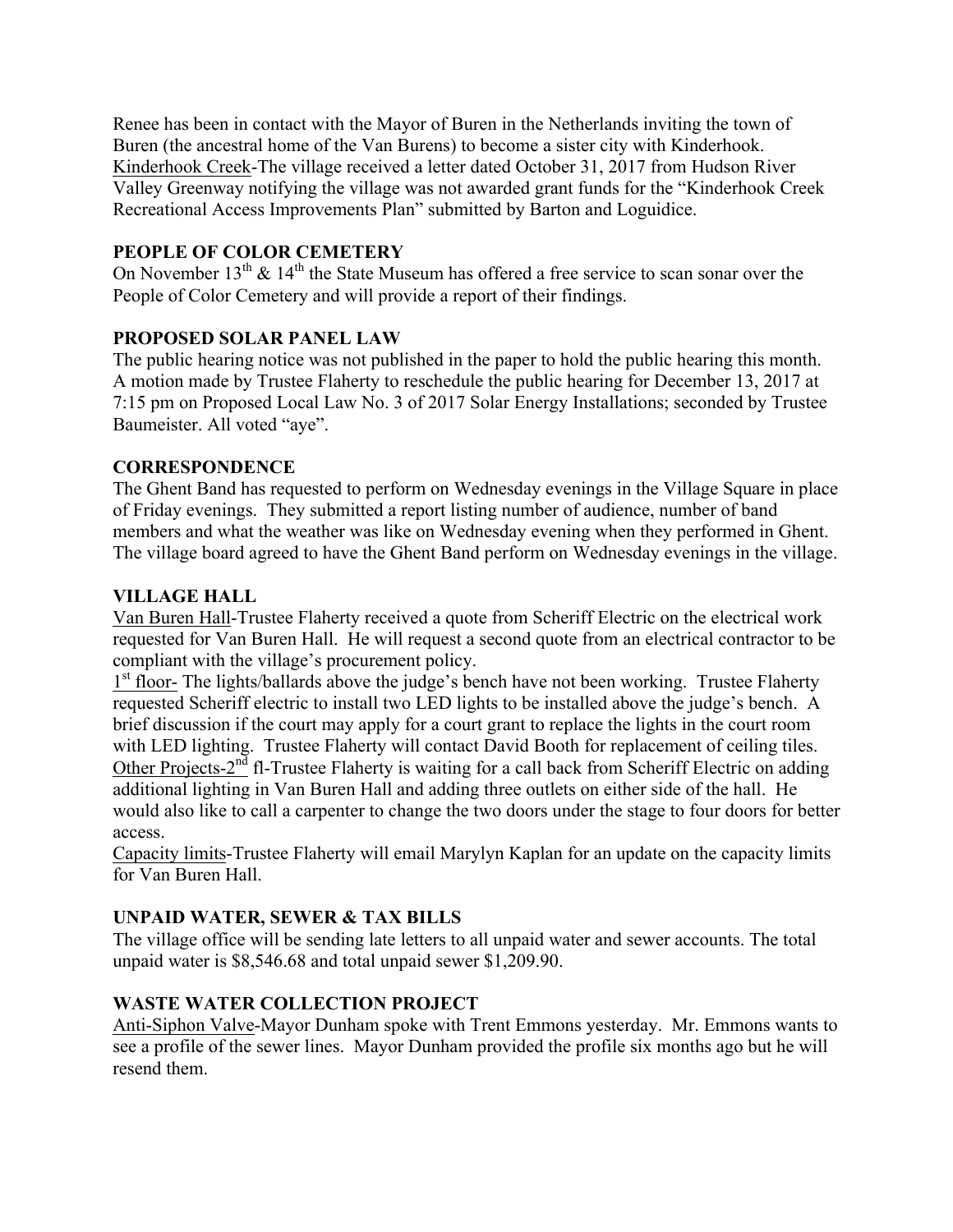Renee has been in contact with the Mayor of Buren in the Netherlands inviting the town of Buren (the ancestral home of the Van Burens) to become a sister city with Kinderhook. Kinderhook Creek-The village received a letter dated October 31, 2017 from Hudson River Valley Greenway notifying the village was not awarded grant funds for the "Kinderhook Creek Recreational Access Improvements Plan" submitted by Barton and Loguidice.

## **PEOPLE OF COLOR CEMETERY**

On November  $13<sup>th</sup>$  &  $14<sup>th</sup>$  the State Museum has offered a free service to scan sonar over the People of Color Cemetery and will provide a report of their findings.

## **PROPOSED SOLAR PANEL LAW**

The public hearing notice was not published in the paper to hold the public hearing this month. A motion made by Trustee Flaherty to reschedule the public hearing for December 13, 2017 at 7:15 pm on Proposed Local Law No. 3 of 2017 Solar Energy Installations; seconded by Trustee Baumeister. All voted "aye".

## **CORRESPONDENCE**

The Ghent Band has requested to perform on Wednesday evenings in the Village Square in place of Friday evenings. They submitted a report listing number of audience, number of band members and what the weather was like on Wednesday evening when they performed in Ghent. The village board agreed to have the Ghent Band perform on Wednesday evenings in the village.

## **VILLAGE HALL**

Van Buren Hall-Trustee Flaherty received a quote from Scheriff Electric on the electrical work requested for Van Buren Hall. He will request a second quote from an electrical contractor to be compliant with the village's procurement policy.

1<sup>st</sup> floor- The lights/ballards above the judge's bench have not been working. Trustee Flaherty requested Scheriff electric to install two LED lights to be installed above the judge's bench. A brief discussion if the court may apply for a court grant to replace the lights in the court room with LED lighting. Trustee Flaherty will contact David Booth for replacement of ceiling tiles. Other Projects-2<sup>nd</sup> fl-Trustee Flaherty is waiting for a call back from Scheriff Electric on adding additional lighting in Van Buren Hall and adding three outlets on either side of the hall. He would also like to call a carpenter to change the two doors under the stage to four doors for better access.

Capacity limits-Trustee Flaherty will email Marylyn Kaplan for an update on the capacity limits for Van Buren Hall.

# **UNPAID WATER, SEWER & TAX BILLS**

The village office will be sending late letters to all unpaid water and sewer accounts. The total unpaid water is \$8,546.68 and total unpaid sewer \$1,209.90.

# **WASTE WATER COLLECTION PROJECT**

Anti-Siphon Valve-Mayor Dunham spoke with Trent Emmons yesterday. Mr. Emmons wants to see a profile of the sewer lines. Mayor Dunham provided the profile six months ago but he will resend them.